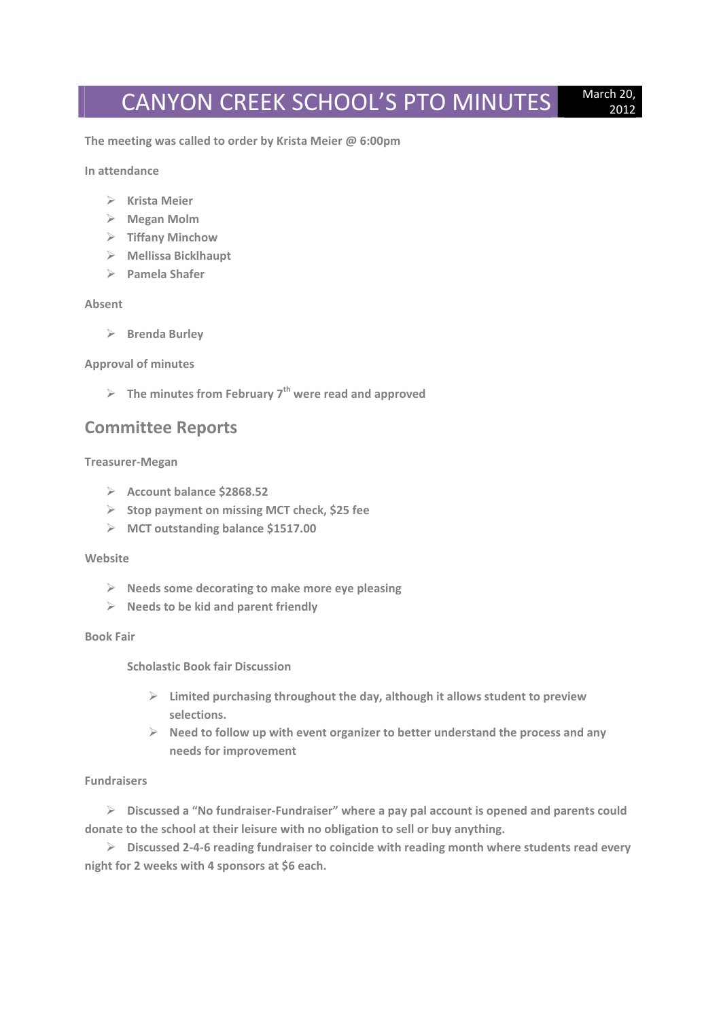# CANYON CREEK SCHOOL'S PTO MINUTES March 20,

2012

**The meeting was called to order by Krista Meier @ 6:00pm**

**In attendance**

- **Krista Meier**
- **Megan Molm**
- **Tiffany Minchow**
- **Mellissa Bicklhaupt**
- **Pamela Shafer**

# **Absent**

**Brenda Burley**

# **Approval of minutes**

**The minutes from February 7th were read and approved**

# **Committee Reports**

# **Treasurer‐Megan**

- **Account balance \$2868.52**
- **Stop payment on missing MCT check, \$25 fee**
- **MCT outstanding balance \$1517.00**

#### **Website**

- **Needs some decorating to make more eye pleasing**
- **Needs to be kid and parent friendly**

#### **Book Fair**

**Scholastic Book fair Discussion**

- **Limited purchasing throughout the day, although it allows student to preview selections.**
- **Need to follow up with event organizer to better understand the process and any needs for improvement**

# **Fundraisers**

 **Discussed a "No fundraiser‐Fundraiser" where a pay pal account is opened and parents could donate to the school at their leisure with no obligation to sell or buy anything.**

 **Discussed 2‐4‐6 reading fundraiser to coincide with reading month where students read every night for 2 weeks with 4 sponsors at \$6 each.**